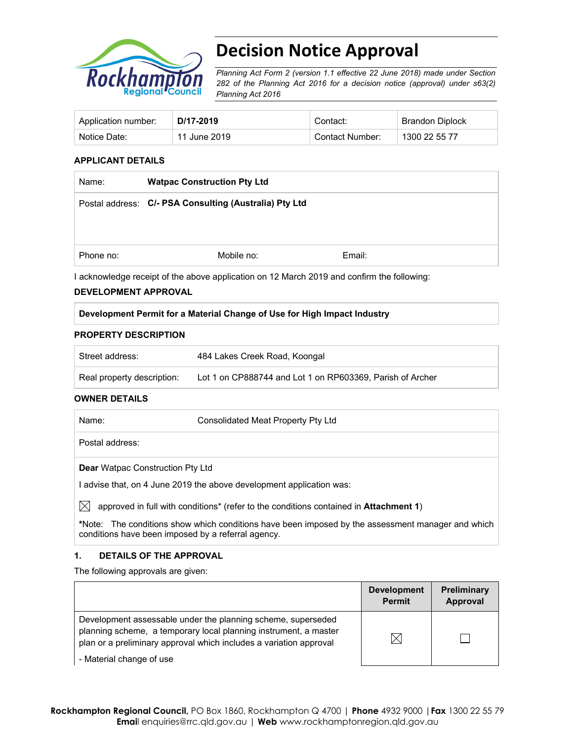

# **Decision Notice Approval**

*Planning Act Form 2 (version 1.1 effective 22 June 2018) made under Section 282 of the Planning Act 2016 for a decision notice (approval) under s63(2) Planning Act 2016*

| Application number: | D/17-2019    | Contact:        | Brandon Diplock |
|---------------------|--------------|-----------------|-----------------|
| Notice Date:        | 11 June 2019 | Contact Number: | 1300 22 55 77   |

# **APPLICANT DETAILS**

| Name:     | <b>Watpac Construction Pty Ltd</b>                                                                                                               |                                                                                                                                      |
|-----------|--------------------------------------------------------------------------------------------------------------------------------------------------|--------------------------------------------------------------------------------------------------------------------------------------|
|           | Postal address: C/- PSA Consulting (Australia) Pty Ltd                                                                                           |                                                                                                                                      |
|           |                                                                                                                                                  |                                                                                                                                      |
|           |                                                                                                                                                  |                                                                                                                                      |
| Phone no: | Mobile no:                                                                                                                                       | Email:                                                                                                                               |
|           | $\mathbf{r}$ , and $\mathbf{r}$ , and $\mathbf{r}$ , and $\mathbf{r}$ , and $\mathbf{r}$ , and $\mathbf{r}$ , and $\mathbf{r}$<br>$\blacksquare$ | $\overline{1011}$ $\overline{10010}$ $\overline{11}$ $\overline{11}$ $\overline{11}$ $\overline{11}$ $\overline{11}$ $\overline{11}$ |

I acknowledge receipt of the above application on 12 March 2019 and confirm the following:

# **DEVELOPMENT APPROVAL**

# **Development Permit for a Material Change of Use for High Impact Industry**

## **PROPERTY DESCRIPTION**

| Street address:            | 484 Lakes Creek Road, Koongal                             |
|----------------------------|-----------------------------------------------------------|
| Real property description: | Lot 1 on CP888744 and Lot 1 on RP603369, Parish of Archer |

## **OWNER DETAILS**

| Name:                                   | Consolidated Meat Property Pty Ltd |
|-----------------------------------------|------------------------------------|
| Postal address:                         |                                    |
| <b>Dear Watpac Construction Pty Ltd</b> |                                    |

I advise that, on 4 June 2019 the above development application was:

 $\boxtimes$  approved in full with conditions<sup>\*</sup> (refer to the conditions contained in **Attachment 1**)

**\***Note:The conditions show which conditions have been imposed by the assessment manager and which conditions have been imposed by a referral agency.

# **1. DETAILS OF THE APPROVAL**

The following approvals are given:

|                                                                                                                                                                                                        | <b>Development</b><br><b>Permit</b> | <b>Preliminary</b><br>Approval |
|--------------------------------------------------------------------------------------------------------------------------------------------------------------------------------------------------------|-------------------------------------|--------------------------------|
| Development assessable under the planning scheme, superseded<br>planning scheme, a temporary local planning instrument, a master<br>plan or a preliminary approval which includes a variation approval | $\bowtie$                           |                                |
| - Material change of use                                                                                                                                                                               |                                     |                                |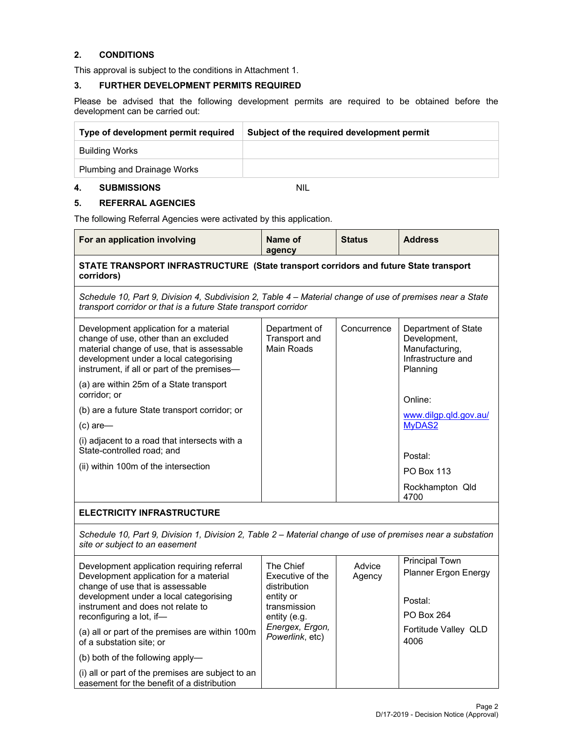# **2. CONDITIONS**

This approval is subject to the conditions in Attachment 1.

# **3. FURTHER DEVELOPMENT PERMITS REQUIRED**

Please be advised that the following development permits are required to be obtained before the development can be carried out:

| Type of development permit required | Subject of the required development permit |
|-------------------------------------|--------------------------------------------|
| Building Works                      |                                            |
| <b>Plumbing and Drainage Works</b>  |                                            |

## **4. SUBMISSIONS** NIL

# **5. REFERRAL AGENCIES**

The following Referral Agencies were activated by this application.

| For an application involving                                                                                                                                                                                                        | Name of<br>agency                                                                          | <b>Status</b>    | <b>Address</b>                                                                          |
|-------------------------------------------------------------------------------------------------------------------------------------------------------------------------------------------------------------------------------------|--------------------------------------------------------------------------------------------|------------------|-----------------------------------------------------------------------------------------|
| STATE TRANSPORT INFRASTRUCTURE (State transport corridors and future State transport<br>corridors)                                                                                                                                  |                                                                                            |                  |                                                                                         |
| Schedule 10, Part 9, Division 4, Subdivision 2, Table 4 – Material change of use of premises near a State<br>transport corridor or that is a future State transport corridor                                                        |                                                                                            |                  |                                                                                         |
| Development application for a material<br>change of use, other than an excluded<br>material change of use, that is assessable<br>development under a local categorising<br>instrument, if all or part of the premises-              | Department of<br>Transport and<br>Main Roads                                               | Concurrence      | Department of State<br>Development,<br>Manufacturing,<br>Infrastructure and<br>Planning |
| (a) are within 25m of a State transport<br>corridor; or                                                                                                                                                                             |                                                                                            |                  | Online:                                                                                 |
| (b) are a future State transport corridor; or                                                                                                                                                                                       |                                                                                            |                  | www.dilgp.qld.gov.au/                                                                   |
| $(c)$ are-                                                                                                                                                                                                                          |                                                                                            |                  | MyDAS2                                                                                  |
| (i) adjacent to a road that intersects with a<br>State-controlled road; and                                                                                                                                                         |                                                                                            |                  | Postal:                                                                                 |
| (ii) within 100m of the intersection                                                                                                                                                                                                |                                                                                            |                  | <b>PO Box 113</b>                                                                       |
|                                                                                                                                                                                                                                     |                                                                                            |                  | Rockhampton Qld<br>4700                                                                 |
| <b>ELECTRICITY INFRASTRUCTURE</b>                                                                                                                                                                                                   |                                                                                            |                  |                                                                                         |
| Schedule 10, Part 9, Division 1, Division 2, Table 2 - Material change of use of premises near a substation<br>site or subject to an easement                                                                                       |                                                                                            |                  |                                                                                         |
| Development application requiring referral<br>Development application for a material<br>change of use that is assessable<br>development under a local categorising<br>instrument and does not relate to<br>reconfiguring a lot, if- | The Chief<br>Executive of the<br>distribution<br>entity or<br>transmission<br>entity (e.g. | Advice<br>Agency | <b>Principal Town</b><br>Planner Ergon Energy<br>Postal:<br>PO Box 264                  |
| (a) all or part of the premises are within 100m<br>of a substation site; or                                                                                                                                                         | Energex, Ergon,<br>Powerlink, etc)                                                         |                  | Fortitude Valley QLD<br>4006                                                            |
| (b) both of the following apply-                                                                                                                                                                                                    |                                                                                            |                  |                                                                                         |
| (i) all or part of the premises are subject to an<br>easement for the benefit of a distribution                                                                                                                                     |                                                                                            |                  |                                                                                         |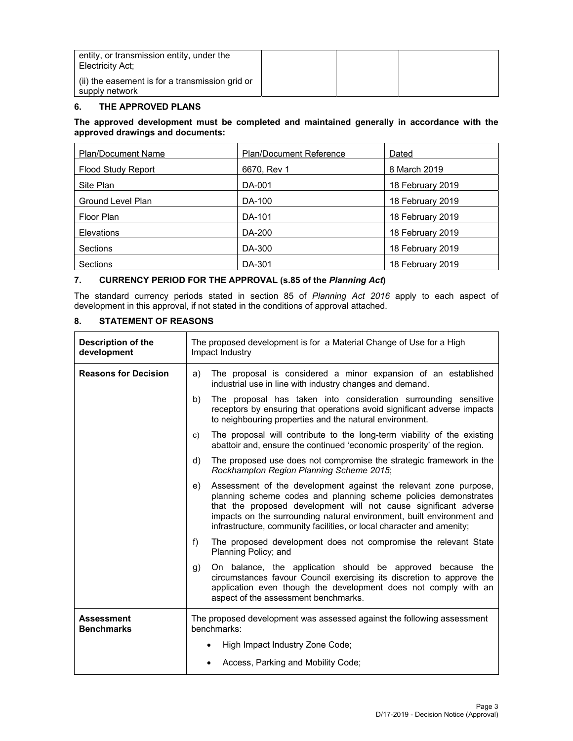| entity, or transmission entity, under the<br>Electricity Act:     |  |  |
|-------------------------------------------------------------------|--|--|
| (ii) the easement is for a transmission grid or<br>supply network |  |  |

# **6. THE APPROVED PLANS**

## **The approved development must be completed and maintained generally in accordance with the approved drawings and documents:**

| <b>Plan/Document Name</b> | <b>Plan/Document Reference</b> | Dated            |
|---------------------------|--------------------------------|------------------|
| <b>Flood Study Report</b> | 6670, Rev 1                    | 8 March 2019     |
| Site Plan                 | DA-001                         | 18 February 2019 |
| Ground Level Plan         | DA-100                         | 18 February 2019 |
| Floor Plan                | DA-101                         | 18 February 2019 |
| Elevations                | DA-200                         | 18 February 2019 |
| Sections                  | DA-300                         | 18 February 2019 |
| <b>Sections</b>           | DA-301                         | 18 February 2019 |

# **7. CURRENCY PERIOD FOR THE APPROVAL (s.85 of the** *Planning Act***)**

The standard currency periods stated in section 85 of *Planning Act 2016* apply to each aspect of development in this approval, if not stated in the conditions of approval attached.

# **8. STATEMENT OF REASONS**

| <b>Description of the</b><br>development | The proposed development is for a Material Change of Use for a High<br>Impact Industry                                                                                                                                                                                                                                                                          |  |
|------------------------------------------|-----------------------------------------------------------------------------------------------------------------------------------------------------------------------------------------------------------------------------------------------------------------------------------------------------------------------------------------------------------------|--|
| <b>Reasons for Decision</b>              | The proposal is considered a minor expansion of an established<br>a)<br>industrial use in line with industry changes and demand.                                                                                                                                                                                                                                |  |
|                                          | The proposal has taken into consideration surrounding sensitive<br>b)<br>receptors by ensuring that operations avoid significant adverse impacts<br>to neighbouring properties and the natural environment.                                                                                                                                                     |  |
|                                          | The proposal will contribute to the long-term viability of the existing<br>c)<br>abattoir and, ensure the continued 'economic prosperity' of the region.                                                                                                                                                                                                        |  |
|                                          | The proposed use does not compromise the strategic framework in the<br>d)<br>Rockhampton Region Planning Scheme 2015;                                                                                                                                                                                                                                           |  |
|                                          | Assessment of the development against the relevant zone purpose,<br>e)<br>planning scheme codes and planning scheme policies demonstrates<br>that the proposed development will not cause significant adverse<br>impacts on the surrounding natural environment, built environment and<br>infrastructure, community facilities, or local character and amenity; |  |
|                                          | f)<br>The proposed development does not compromise the relevant State<br>Planning Policy; and                                                                                                                                                                                                                                                                   |  |
|                                          | On balance, the application should be approved because the<br>g)<br>circumstances favour Council exercising its discretion to approve the<br>application even though the development does not comply with an<br>aspect of the assessment benchmarks.                                                                                                            |  |
| <b>Assessment</b><br><b>Benchmarks</b>   | The proposed development was assessed against the following assessment<br>benchmarks:                                                                                                                                                                                                                                                                           |  |
|                                          | High Impact Industry Zone Code;                                                                                                                                                                                                                                                                                                                                 |  |
|                                          | Access, Parking and Mobility Code;                                                                                                                                                                                                                                                                                                                              |  |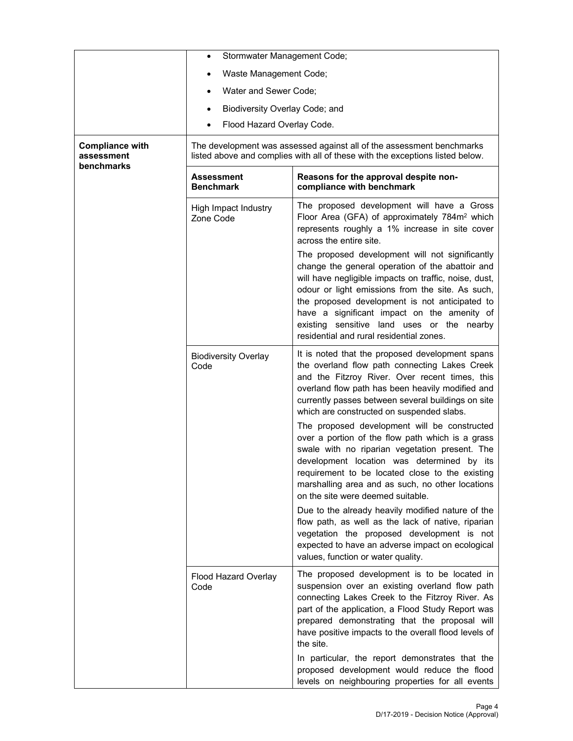|                                                    | Stormwater Management Code;<br>$\bullet$ |                                                                                                                                                                                                                                                                                                                                                                                                                                                                                                                                                                                                                                                                                                                                                                      |
|----------------------------------------------------|------------------------------------------|----------------------------------------------------------------------------------------------------------------------------------------------------------------------------------------------------------------------------------------------------------------------------------------------------------------------------------------------------------------------------------------------------------------------------------------------------------------------------------------------------------------------------------------------------------------------------------------------------------------------------------------------------------------------------------------------------------------------------------------------------------------------|
|                                                    | Waste Management Code;                   |                                                                                                                                                                                                                                                                                                                                                                                                                                                                                                                                                                                                                                                                                                                                                                      |
|                                                    | Water and Sewer Code;                    |                                                                                                                                                                                                                                                                                                                                                                                                                                                                                                                                                                                                                                                                                                                                                                      |
|                                                    | Biodiversity Overlay Code; and<br>٠      |                                                                                                                                                                                                                                                                                                                                                                                                                                                                                                                                                                                                                                                                                                                                                                      |
|                                                    | Flood Hazard Overlay Code.               |                                                                                                                                                                                                                                                                                                                                                                                                                                                                                                                                                                                                                                                                                                                                                                      |
| <b>Compliance with</b><br>assessment<br>benchmarks |                                          | The development was assessed against all of the assessment benchmarks<br>listed above and complies with all of these with the exceptions listed below.                                                                                                                                                                                                                                                                                                                                                                                                                                                                                                                                                                                                               |
|                                                    | Assessment<br><b>Benchmark</b>           | Reasons for the approval despite non-<br>compliance with benchmark                                                                                                                                                                                                                                                                                                                                                                                                                                                                                                                                                                                                                                                                                                   |
|                                                    | High Impact Industry<br>Zone Code        | The proposed development will have a Gross<br>Floor Area (GFA) of approximately 784m <sup>2</sup> which<br>represents roughly a 1% increase in site cover<br>across the entire site.                                                                                                                                                                                                                                                                                                                                                                                                                                                                                                                                                                                 |
|                                                    |                                          | The proposed development will not significantly<br>change the general operation of the abattoir and<br>will have negligible impacts on traffic, noise, dust,<br>odour or light emissions from the site. As such,<br>the proposed development is not anticipated to<br>have a significant impact on the amenity of<br>existing sensitive land uses or the nearby<br>residential and rural residential zones.                                                                                                                                                                                                                                                                                                                                                          |
|                                                    | <b>Biodiversity Overlay</b><br>Code      | It is noted that the proposed development spans<br>the overland flow path connecting Lakes Creek<br>and the Fitzroy River. Over recent times, this<br>overland flow path has been heavily modified and<br>currently passes between several buildings on site<br>which are constructed on suspended slabs.<br>The proposed development will be constructed<br>over a portion of the flow path which is a grass<br>swale with no riparian vegetation present. The<br>development location was determined by its<br>requirement to be located close to the existing<br>marshalling area and as such, no other locations<br>on the site were deemed suitable.<br>Due to the already heavily modified nature of the<br>flow path, as well as the lack of native, riparian |
|                                                    |                                          | vegetation the proposed development is not<br>expected to have an adverse impact on ecological<br>values, function or water quality.                                                                                                                                                                                                                                                                                                                                                                                                                                                                                                                                                                                                                                 |
|                                                    | Flood Hazard Overlay<br>Code             | The proposed development is to be located in<br>suspension over an existing overland flow path<br>connecting Lakes Creek to the Fitzroy River. As<br>part of the application, a Flood Study Report was<br>prepared demonstrating that the proposal will<br>have positive impacts to the overall flood levels of<br>the site.<br>In particular, the report demonstrates that the                                                                                                                                                                                                                                                                                                                                                                                      |
|                                                    |                                          | proposed development would reduce the flood<br>levels on neighbouring properties for all events                                                                                                                                                                                                                                                                                                                                                                                                                                                                                                                                                                                                                                                                      |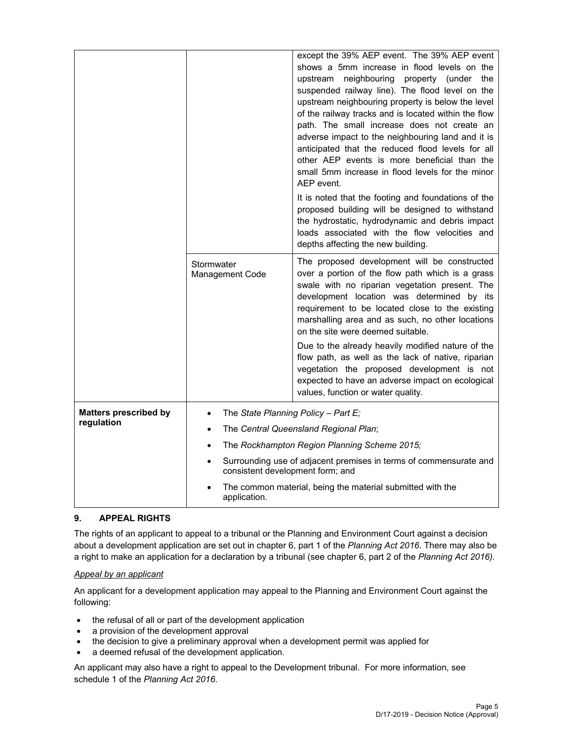|                              |                                                                                                                                                                                     | except the 39% AEP event. The 39% AEP event<br>shows a 5mm increase in flood levels on the<br>upstream neighbouring<br>property (under<br>the<br>suspended railway line). The flood level on the<br>upstream neighbouring property is below the level<br>of the railway tracks and is located within the flow<br>path. The small increase does not create an<br>adverse impact to the neighbouring land and it is<br>anticipated that the reduced flood levels for all<br>other AEP events is more beneficial than the<br>small 5mm increase in flood levels for the minor<br>AEP event.<br>It is noted that the footing and foundations of the<br>proposed building will be designed to withstand<br>the hydrostatic, hydrodynamic and debris impact<br>loads associated with the flow velocities and<br>depths affecting the new building. |
|------------------------------|-------------------------------------------------------------------------------------------------------------------------------------------------------------------------------------|----------------------------------------------------------------------------------------------------------------------------------------------------------------------------------------------------------------------------------------------------------------------------------------------------------------------------------------------------------------------------------------------------------------------------------------------------------------------------------------------------------------------------------------------------------------------------------------------------------------------------------------------------------------------------------------------------------------------------------------------------------------------------------------------------------------------------------------------|
|                              | Stormwater<br><b>Management Code</b>                                                                                                                                                | The proposed development will be constructed<br>over a portion of the flow path which is a grass<br>swale with no riparian vegetation present. The<br>development location was determined by its<br>requirement to be located close to the existing<br>marshalling area and as such, no other locations<br>on the site were deemed suitable.<br>Due to the already heavily modified nature of the<br>flow path, as well as the lack of native, riparian<br>vegetation the proposed development is not<br>expected to have an adverse impact on ecological<br>values, function or water quality.                                                                                                                                                                                                                                              |
| <b>Matters prescribed by</b> | The State Planning Policy - Part E;                                                                                                                                                 |                                                                                                                                                                                                                                                                                                                                                                                                                                                                                                                                                                                                                                                                                                                                                                                                                                              |
| regulation                   |                                                                                                                                                                                     | The Central Queensland Regional Plan;                                                                                                                                                                                                                                                                                                                                                                                                                                                                                                                                                                                                                                                                                                                                                                                                        |
|                              |                                                                                                                                                                                     | The Rockhampton Region Planning Scheme 2015;                                                                                                                                                                                                                                                                                                                                                                                                                                                                                                                                                                                                                                                                                                                                                                                                 |
|                              | Surrounding use of adjacent premises in terms of commensurate and<br>consistent development form; and<br>The common material, being the material submitted with the<br>application. |                                                                                                                                                                                                                                                                                                                                                                                                                                                                                                                                                                                                                                                                                                                                                                                                                                              |
|                              |                                                                                                                                                                                     |                                                                                                                                                                                                                                                                                                                                                                                                                                                                                                                                                                                                                                                                                                                                                                                                                                              |

# **9. APPEAL RIGHTS**

The rights of an applicant to appeal to a tribunal or the Planning and Environment Court against a decision about a development application are set out in chapter 6, part 1 of the *Planning Act 2016*. There may also be a right to make an application for a declaration by a tribunal (see chapter 6, part 2 of the *Planning Act 2016).*

# *Appeal by an applicant*

An applicant for a development application may appeal to the Planning and Environment Court against the following:

- the refusal of all or part of the development application
- a provision of the development approval
- the decision to give a preliminary approval when a development permit was applied for
- a deemed refusal of the development application.

An applicant may also have a right to appeal to the Development tribunal. For more information, see schedule 1 of the *Planning Act 2016*.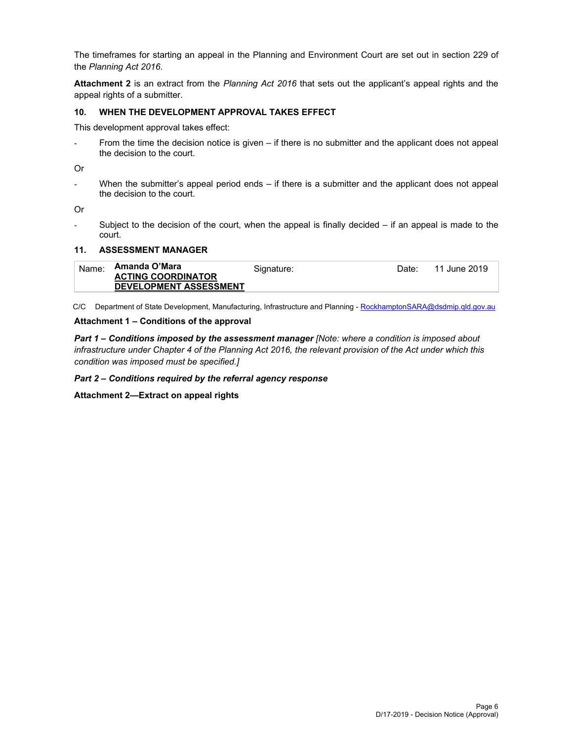The timeframes for starting an appeal in the Planning and Environment Court are set out in section 229 of the *Planning Act 2016*.

**Attachment 2** is an extract from the *Planning Act 2016* that sets out the applicant's appeal rights and the appeal rights of a submitter.

## **10. WHEN THE DEVELOPMENT APPROVAL TAKES EFFECT**

This development approval takes effect:

From the time the decision notice is given – if there is no submitter and the applicant does not appeal the decision to the court.

Or

- When the submitter's appeal period ends – if there is a submitter and the applicant does not appeal the decision to the court.

Or

- Subject to the decision of the court, when the appeal is finally decided – if an appeal is made to the court.

## **11. ASSESSMENT MANAGER**

| Name: | Amanda O'Mara                 | Signature: | Date: | 11 June 2019 |
|-------|-------------------------------|------------|-------|--------------|
|       | <b>ACTING COORDINATOR</b>     |            |       |              |
|       | <b>DEVELOPMENT ASSESSMENT</b> |            |       |              |

C/C Department of State Development, Manufacturing, Infrastructure and Planning - RockhamptonSARA@dsdmip.qld.gov.au

### **Attachment 1 – Conditions of the approval**

*Part 1* **–** *Conditions imposed by the assessment manager [Note: where a condition is imposed about infrastructure under Chapter 4 of the Planning Act 2016, the relevant provision of the Act under which this condition was imposed must be specified.]*

*Part 2 – Conditions required by the referral agency response* 

**Attachment 2—Extract on appeal rights**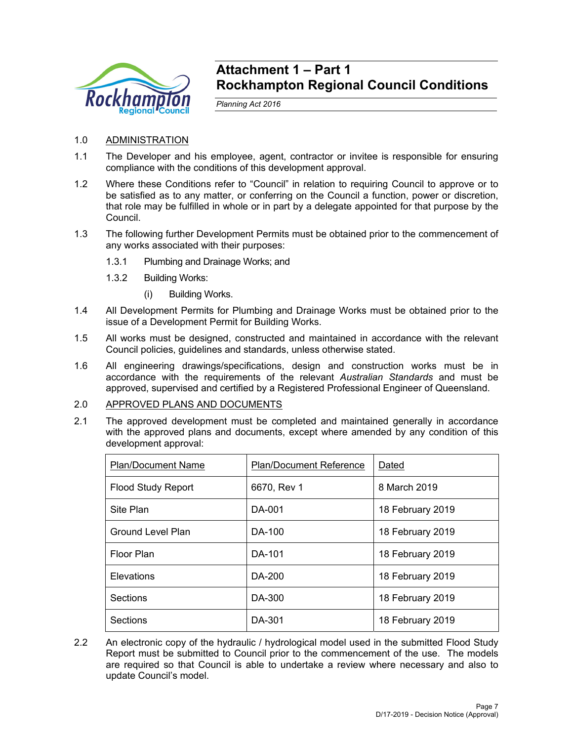

# **Attachment 1 – Part 1 Rockhampton Regional Council Conditions**

*Planning Act 2016* 

- 1.0 ADMINISTRATION
- 1.1 The Developer and his employee, agent, contractor or invitee is responsible for ensuring compliance with the conditions of this development approval.
- 1.2 Where these Conditions refer to "Council" in relation to requiring Council to approve or to be satisfied as to any matter, or conferring on the Council a function, power or discretion, that role may be fulfilled in whole or in part by a delegate appointed for that purpose by the Council.
- 1.3 The following further Development Permits must be obtained prior to the commencement of any works associated with their purposes:
	- 1.3.1 Plumbing and Drainage Works; and
	- 1.3.2 Building Works:
		- (i) Building Works.
- 1.4 All Development Permits for Plumbing and Drainage Works must be obtained prior to the issue of a Development Permit for Building Works.
- 1.5 All works must be designed, constructed and maintained in accordance with the relevant Council policies, guidelines and standards, unless otherwise stated.
- 1.6 All engineering drawings/specifications, design and construction works must be in accordance with the requirements of the relevant *Australian Standards* and must be approved, supervised and certified by a Registered Professional Engineer of Queensland.

# 2.0 APPROVED PLANS AND DOCUMENTS

2.1 The approved development must be completed and maintained generally in accordance with the approved plans and documents, except where amended by any condition of this development approval:

| <b>Plan/Document Name</b> | <b>Plan/Document Reference</b> | Dated            |
|---------------------------|--------------------------------|------------------|
| <b>Flood Study Report</b> | 6670, Rev 1                    | 8 March 2019     |
| Site Plan                 | DA-001                         | 18 February 2019 |
| Ground Level Plan         | DA-100                         | 18 February 2019 |
| Floor Plan                | DA-101                         | 18 February 2019 |
| <b>Elevations</b>         | DA-200                         | 18 February 2019 |
| <b>Sections</b>           | DA-300                         | 18 February 2019 |
| <b>Sections</b>           | DA-301                         | 18 February 2019 |

2.2 An electronic copy of the hydraulic / hydrological model used in the submitted Flood Study Report must be submitted to Council prior to the commencement of the use. The models are required so that Council is able to undertake a review where necessary and also to update Council's model.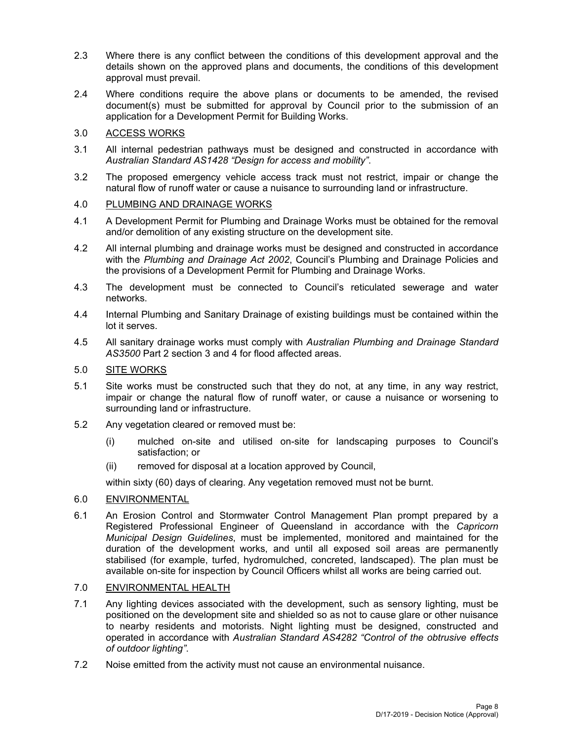- 2.3 Where there is any conflict between the conditions of this development approval and the details shown on the approved plans and documents, the conditions of this development approval must prevail.
- 2.4 Where conditions require the above plans or documents to be amended, the revised document(s) must be submitted for approval by Council prior to the submission of an application for a Development Permit for Building Works.

# 3.0 ACCESS WORKS

- 3.1 All internal pedestrian pathways must be designed and constructed in accordance with *Australian Standard AS1428 "Design for access and mobility"*.
- 3.2 The proposed emergency vehicle access track must not restrict, impair or change the natural flow of runoff water or cause a nuisance to surrounding land or infrastructure.

# 4.0 PLUMBING AND DRAINAGE WORKS

- 4.1 A Development Permit for Plumbing and Drainage Works must be obtained for the removal and/or demolition of any existing structure on the development site.
- 4.2 All internal plumbing and drainage works must be designed and constructed in accordance with the *Plumbing and Drainage Act 2002*, Council's Plumbing and Drainage Policies and the provisions of a Development Permit for Plumbing and Drainage Works.
- 4.3 The development must be connected to Council's reticulated sewerage and water networks.
- 4.4 Internal Plumbing and Sanitary Drainage of existing buildings must be contained within the lot it serves.
- 4.5 All sanitary drainage works must comply with *Australian Plumbing and Drainage Standard AS3500* Part 2 section 3 and 4 for flood affected areas.

# 5.0 SITE WORKS

- 5.1 Site works must be constructed such that they do not, at any time, in any way restrict, impair or change the natural flow of runoff water, or cause a nuisance or worsening to surrounding land or infrastructure.
- 5.2 Any vegetation cleared or removed must be:
	- (i) mulched on-site and utilised on-site for landscaping purposes to Council's satisfaction; or
	- (ii) removed for disposal at a location approved by Council,

within sixty (60) days of clearing. Any vegetation removed must not be burnt.

# 6.0 ENVIRONMENTAL

6.1 An Erosion Control and Stormwater Control Management Plan prompt prepared by a Registered Professional Engineer of Queensland in accordance with the *Capricorn Municipal Design Guidelines*, must be implemented, monitored and maintained for the duration of the development works, and until all exposed soil areas are permanently stabilised (for example, turfed, hydromulched, concreted, landscaped). The plan must be available on-site for inspection by Council Officers whilst all works are being carried out.

# 7.0 ENVIRONMENTAL HEALTH

- 7.1 Any lighting devices associated with the development, such as sensory lighting, must be positioned on the development site and shielded so as not to cause glare or other nuisance to nearby residents and motorists. Night lighting must be designed, constructed and operated in accordance with *Australian Standard AS4282 "Control of the obtrusive effects of outdoor lighting"*.
- 7.2 Noise emitted from the activity must not cause an environmental nuisance.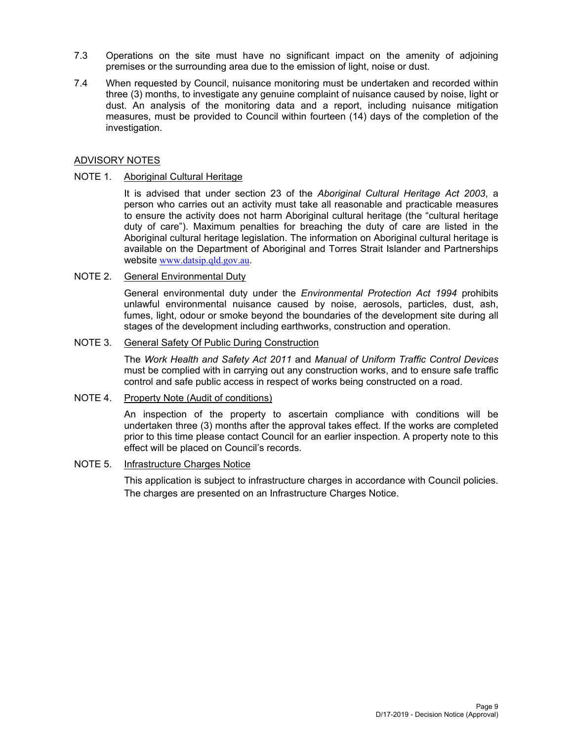- 7.3 Operations on the site must have no significant impact on the amenity of adjoining premises or the surrounding area due to the emission of light, noise or dust.
- 7.4 When requested by Council, nuisance monitoring must be undertaken and recorded within three (3) months, to investigate any genuine complaint of nuisance caused by noise, light or dust. An analysis of the monitoring data and a report, including nuisance mitigation measures, must be provided to Council within fourteen (14) days of the completion of the investigation.

# ADVISORY NOTES

# NOTE 1. Aboriginal Cultural Heritage

It is advised that under section 23 of the *Aboriginal Cultural Heritage Act 2003*, a person who carries out an activity must take all reasonable and practicable measures to ensure the activity does not harm Aboriginal cultural heritage (the "cultural heritage duty of care"). Maximum penalties for breaching the duty of care are listed in the Aboriginal cultural heritage legislation. The information on Aboriginal cultural heritage is available on the Department of Aboriginal and Torres Strait Islander and Partnerships website www.datsip.qld.gov.au.

# NOTE 2. General Environmental Duty

General environmental duty under the *Environmental Protection Act 1994* prohibits unlawful environmental nuisance caused by noise, aerosols, particles, dust, ash, fumes, light, odour or smoke beyond the boundaries of the development site during all stages of the development including earthworks, construction and operation.

# NOTE 3. General Safety Of Public During Construction

The *Work Health and Safety Act 2011* and *Manual of Uniform Traffic Control Devices* must be complied with in carrying out any construction works, and to ensure safe traffic control and safe public access in respect of works being constructed on a road.

# NOTE 4. Property Note (Audit of conditions)

An inspection of the property to ascertain compliance with conditions will be undertaken three (3) months after the approval takes effect. If the works are completed prior to this time please contact Council for an earlier inspection. A property note to this effect will be placed on Council's records.

# NOTE 5. Infrastructure Charges Notice

This application is subject to infrastructure charges in accordance with Council policies. The charges are presented on an Infrastructure Charges Notice.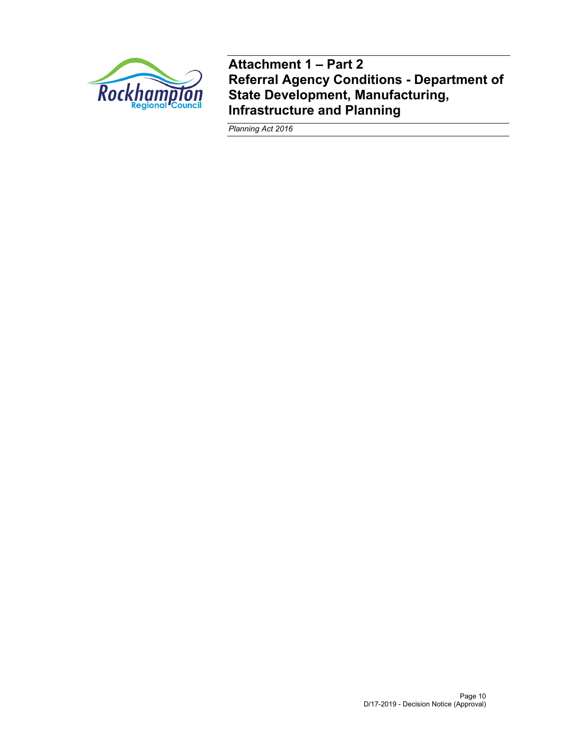

**Attachment 1 – Part 2 Referral Agency Conditions - Department of State Development, Manufacturing, Infrastructure and Planning** 

*Planning Act 2016*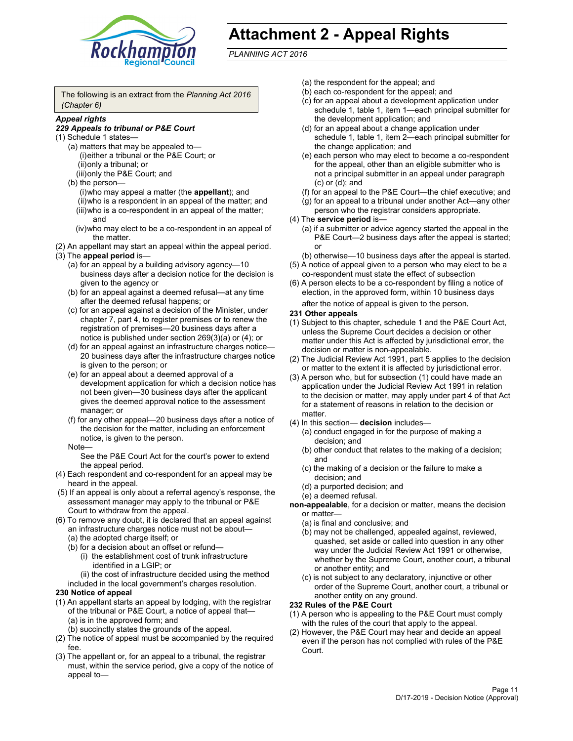

# **Attachment 2 - Appeal Rights**

*PLANNING ACT 2016*

The following is an extract from the *Planning Act 2016 (Chapter 6)*

# *Appeal rights*

## *229 Appeals to tribunal or P&E Court*

- (1) Schedule 1 states—
	- (a) matters that may be appealed to— (i) either a tribunal or the P&E Court; or (ii) only a tribunal; or (iii) only the P&E Court; and
	- (b) the person—
		- (i) who may appeal a matter (the **appellant**); and (ii) who is a respondent in an appeal of the matter; and (iii) who is a co-respondent in an appeal of the matter; and
		- (iv) who may elect to be a co-respondent in an appeal of the matter.
- (2) An appellant may start an appeal within the appeal period.
- (3) The **appeal period** is—
	- (a) for an appeal by a building advisory agency—10 business days after a decision notice for the decision is given to the agency or
	- (b) for an appeal against a deemed refusal—at any time after the deemed refusal happens; or
	- (c) for an appeal against a decision of the Minister, under chapter 7, part 4, to register premises or to renew the registration of premises—20 business days after a notice is published under section 269(3)(a) or (4); or
	- (d) for an appeal against an infrastructure charges notice— 20 business days after the infrastructure charges notice is given to the person; or
	- (e) for an appeal about a deemed approval of a development application for which a decision notice has not been given—30 business days after the applicant gives the deemed approval notice to the assessment manager; or
	- (f) for any other appeal—20 business days after a notice of the decision for the matter, including an enforcement notice, is given to the person.

### Note—

See the P&E Court Act for the court's power to extend the appeal period.

- (4) Each respondent and co-respondent for an appeal may be heard in the appeal.
- (5) If an appeal is only about a referral agency's response, the assessment manager may apply to the tribunal or P&E Court to withdraw from the appeal.
- (6) To remove any doubt, it is declared that an appeal against an infrastructure charges notice must not be about— (a) the adopted charge itself; or
	- (b) for a decision about an offset or refund—
		- (i) the establishment cost of trunk infrastructure identified in a LGIP; or
		- (ii) the cost of infrastructure decided using the method
	- included in the local government's charges resolution.
- **230 Notice of appeal**
- (1) An appellant starts an appeal by lodging, with the registrar of the tribunal or P&E Court, a notice of appeal that— (a) is in the approved form; and
	- (b) succinctly states the grounds of the appeal.
- (2) The notice of appeal must be accompanied by the required fee.
- (3) The appellant or, for an appeal to a tribunal, the registrar must, within the service period, give a copy of the notice of appeal to—
- (a) the respondent for the appeal; and
- (b) each co-respondent for the appeal; and
- (c) for an appeal about a development application under schedule 1, table 1, item 1—each principal submitter for the development application; and
- (d) for an appeal about a change application under schedule 1, table 1, item 2—each principal submitter for the change application; and
- (e) each person who may elect to become a co-respondent for the appeal, other than an eligible submitter who is not a principal submitter in an appeal under paragraph (c) or (d); and
- (f) for an appeal to the P&E Court—the chief executive; and
- (g) for an appeal to a tribunal under another Act—any other person who the registrar considers appropriate.
- (4) The **service period** is—
	- (a) if a submitter or advice agency started the appeal in the P&E Court-2 business days after the appeal is started; or
	- (b) otherwise—10 business days after the appeal is started.
- (5) A notice of appeal given to a person who may elect to be a co-respondent must state the effect of subsection
- (6) A person elects to be a co-respondent by filing a notice of election, in the approved form, within 10 business days
	- after the notice of appeal is given to the person*.*
- **231 Other appeals**
- (1) Subject to this chapter, schedule 1 and the P&E Court Act, unless the Supreme Court decides a decision or other matter under this Act is affected by jurisdictional error, the decision or matter is non-appealable.
- (2) The Judicial Review Act 1991, part 5 applies to the decision or matter to the extent it is affected by jurisdictional error.
- (3) A person who, but for subsection (1) could have made an application under the Judicial Review Act 1991 in relation to the decision or matter, may apply under part 4 of that Act for a statement of reasons in relation to the decision or matter.
- (4) In this section— **decision** includes—
	- (a) conduct engaged in for the purpose of making a decision; and
	- (b) other conduct that relates to the making of a decision; and
	- (c) the making of a decision or the failure to make a decision; and
	- (d) a purported decision; and
	- (e) a deemed refusal.

**non-appealable**, for a decision or matter, means the decision or matter—

- (a) is final and conclusive; and
- (b) may not be challenged, appealed against, reviewed, quashed, set aside or called into question in any other way under the Judicial Review Act 1991 or otherwise, whether by the Supreme Court, another court, a tribunal or another entity; and
- (c) is not subject to any declaratory, injunctive or other order of the Supreme Court, another court, a tribunal or another entity on any ground.

## **232 Rules of the P&E Court**

- (1) A person who is appealing to the P&E Court must comply with the rules of the court that apply to the appeal.
- (2) However, the P&E Court may hear and decide an appeal even if the person has not complied with rules of the P&E Court.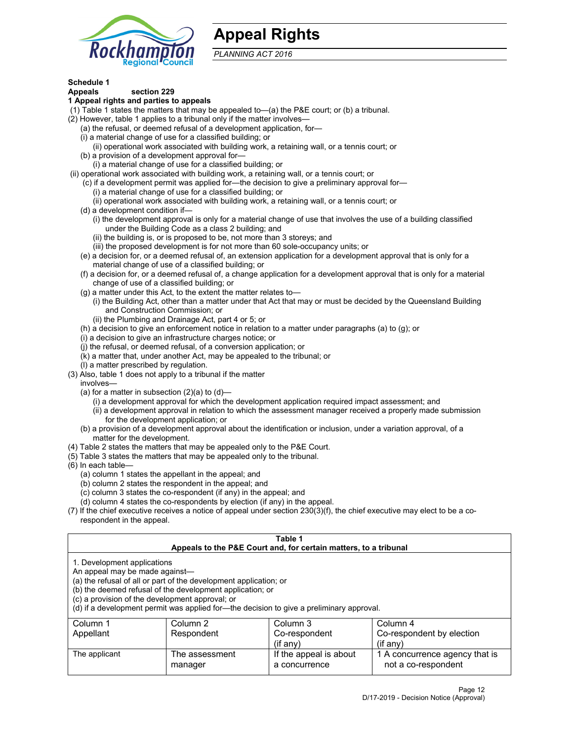

# **Appeal Rights**

*PLANNING ACT 2016*

# **Schedule 1**

# **Appeals section 229**

## **1 Appeal rights and parties to appeals**

- (1) Table 1 states the matters that may be appealed to—(a) the P&E court; or (b) a tribunal.
- (2) However, table 1 applies to a tribunal only if the matter involves—
	- (a) the refusal, or deemed refusal of a development application, for—
	- (i) a material change of use for a classified building; or
	- (ii) operational work associated with building work, a retaining wall, or a tennis court; or
	- (b) a provision of a development approval for—
	- (i) a material change of use for a classified building; or
- (ii) operational work associated with building work, a retaining wall, or a tennis court; or
	- (c) if a development permit was applied for—the decision to give a preliminary approval for—
		- (i) a material change of use for a classified building; or
	- (ii) operational work associated with building work, a retaining wall, or a tennis court; or
	- (d) a development condition if—
		- (i) the development approval is only for a material change of use that involves the use of a building classified under the Building Code as a class 2 building; and
		- (ii) the building is, or is proposed to be, not more than 3 storeys; and
		- (iii) the proposed development is for not more than 60 sole-occupancy units; or
	- (e) a decision for, or a deemed refusal of, an extension application for a development approval that is only for a material change of use of a classified building; or
	- (f) a decision for, or a deemed refusal of, a change application for a development approval that is only for a material change of use of a classified building; or
	- (g) a matter under this Act, to the extent the matter relates to—
		- (i) the Building Act, other than a matter under that Act that may or must be decided by the Queensland Building and Construction Commission; or
		- (ii) the Plumbing and Drainage Act, part 4 or 5; or
	- (h) a decision to give an enforcement notice in relation to a matter under paragraphs (a) to (g); or
	- (i) a decision to give an infrastructure charges notice; or
	- (j) the refusal, or deemed refusal, of a conversion application; or
	- (k) a matter that, under another Act, may be appealed to the tribunal; or
	- (l) a matter prescribed by regulation.
- (3) Also, table 1 does not apply to a tribunal if the matter
	- involves—
		- (a) for a matter in subsection  $(2)(a)$  to  $(d)$ 
			- (i) a development approval for which the development application required impact assessment; and
			- (ii) a development approval in relation to which the assessment manager received a properly made submission for the development application; or
	- (b) a provision of a development approval about the identification or inclusion, under a variation approval, of a matter for the development.
- (4) Table 2 states the matters that may be appealed only to the P&E Court.
- (5) Table 3 states the matters that may be appealed only to the tribunal.
- (6) In each table—
	- (a) column 1 states the appellant in the appeal; and
	- (b) column 2 states the respondent in the appeal; and
	- (c) column 3 states the co-respondent (if any) in the appeal; and
	- (d) column 4 states the co-respondents by election (if any) in the appeal.
- (7) If the chief executive receives a notice of appeal under section 230(3)(f), the chief executive may elect to be a corespondent in the appeal.

| Table 1<br>Appeals to the P&E Court and, for certain matters, to a tribunal                                      |                                                                                                                                |                                                                                          |                                                       |  |  |
|------------------------------------------------------------------------------------------------------------------|--------------------------------------------------------------------------------------------------------------------------------|------------------------------------------------------------------------------------------|-------------------------------------------------------|--|--|
| 1. Development applications<br>An appeal may be made against-<br>(c) a provision of the development approval; or | (a) the refusal of all or part of the development application; or<br>(b) the deemed refusal of the development application; or | (d) if a development permit was applied for-the decision to give a preliminary approval. |                                                       |  |  |
| Column 1                                                                                                         | Column 2                                                                                                                       | Column 3                                                                                 | Column 4                                              |  |  |
| Appellant                                                                                                        | Respondent                                                                                                                     | Co-respondent<br>$($ if any $)$                                                          | Co-respondent by election<br>$(if$ any)               |  |  |
| The applicant                                                                                                    | The assessment<br>manager                                                                                                      | If the appeal is about<br>a concurrence                                                  | 1 A concurrence agency that is<br>not a co-respondent |  |  |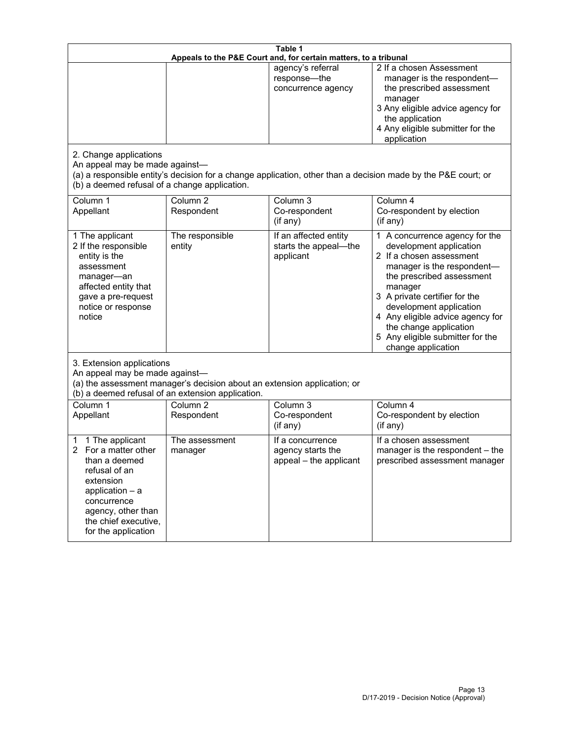| Table 1<br>Appeals to the P&E Court and, for certain matters, to a tribunal                                                                                                                        |                                                                                                                                                      |                                                                         |                                                                                                                                                                                                                                                                                                                                                              |  |
|----------------------------------------------------------------------------------------------------------------------------------------------------------------------------------------------------|------------------------------------------------------------------------------------------------------------------------------------------------------|-------------------------------------------------------------------------|--------------------------------------------------------------------------------------------------------------------------------------------------------------------------------------------------------------------------------------------------------------------------------------------------------------------------------------------------------------|--|
| 2. Change applications<br>An appeal may be made against-                                                                                                                                           |                                                                                                                                                      | agency's referral<br>response-the<br>concurrence agency                 | 2 If a chosen Assessment<br>manager is the respondent-<br>the prescribed assessment<br>manager<br>3 Any eligible advice agency for<br>the application<br>4 Any eligible submitter for the<br>application<br>(a) a responsible entity's decision for a change application, other than a decision made by the P&E court; or                                    |  |
| (b) a deemed refusal of a change application.<br>Column 1<br>Appellant                                                                                                                             | Column $\overline{2}$<br>Respondent                                                                                                                  | Column 3<br>Co-respondent                                               | Column 4<br>Co-respondent by election                                                                                                                                                                                                                                                                                                                        |  |
| 1 The applicant<br>2 If the responsible<br>entity is the<br>assessment<br>manager-an<br>affected entity that<br>gave a pre-request<br>notice or response<br>notice                                 | The responsible<br>entity                                                                                                                            | (if any)<br>If an affected entity<br>starts the appeal-the<br>applicant | (i f any)<br>1 A concurrence agency for the<br>development application<br>2 If a chosen assessment<br>manager is the respondent-<br>the prescribed assessment<br>manager<br>3 A private certifier for the<br>development application<br>4 Any eligible advice agency for<br>the change application<br>5 Any eligible submitter for the<br>change application |  |
| 3. Extension applications<br>An appeal may be made against-<br>Column 1                                                                                                                            | (a) the assessment manager's decision about an extension application; or<br>(b) a deemed refusal of an extension application.<br>Column <sub>2</sub> | Column 3                                                                | Column 4                                                                                                                                                                                                                                                                                                                                                     |  |
| Appellant                                                                                                                                                                                          | Respondent                                                                                                                                           | Co-respondent<br>(if any)                                               | Co-respondent by election<br>(if any)                                                                                                                                                                                                                                                                                                                        |  |
| 1 The applicant<br>1<br>For a matter other<br>than a deemed<br>refusal of an<br>extension<br>application $-$ a<br>concurrence<br>agency, other than<br>the chief executive,<br>for the application | The assessment<br>manager                                                                                                                            | If a concurrence<br>agency starts the<br>appeal - the applicant         | If a chosen assessment<br>manager is the respondent - the<br>prescribed assessment manager                                                                                                                                                                                                                                                                   |  |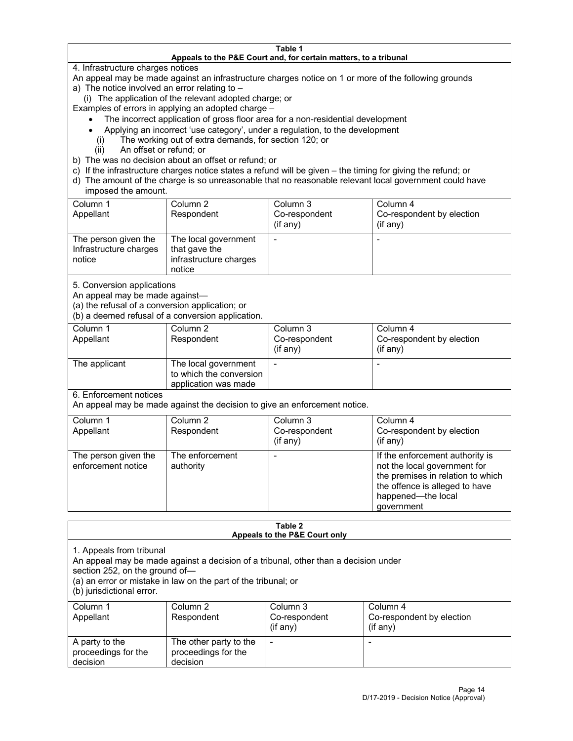#### **Table 1 Appeals to the P&E Court and, for certain matters, to a tribunal**

4. Infrastructure charges notices

An appeal may be made against an infrastructure charges notice on 1 or more of the following grounds

- a) The notice involved an error relating to
	- (i) The application of the relevant adopted charge; or

Examples of errors in applying an adopted charge –

- The incorrect application of gross floor area for a non-residential development
- Applying an incorrect 'use category', under a regulation, to the development
- (i) The working out of extra demands, for section 120; or
- (ii) An offset or refund; or
- b) The was no decision about an offset or refund; or
- c) If the infrastructure charges notice states a refund will be given the timing for giving the refund; or
- d) The amount of the charge is so unreasonable that no reasonable relevant local government could have imposed the amount.

| Column 1<br>Appellant                                    | Column 2<br>Respondent                                                    | Column 3<br>Co-respondent<br>(if any) | Column 4<br>Co-respondent by election<br>(i f any) |
|----------------------------------------------------------|---------------------------------------------------------------------------|---------------------------------------|----------------------------------------------------|
| The person given the<br>Infrastructure charges<br>notice | The local government<br>that gave the<br>infrastructure charges<br>notice |                                       |                                                    |

5. Conversion applications

An appeal may be made against—

(a) the refusal of a conversion application; or

(b) a deemed refusal of a conversion application.

| Column 1<br>Appellant | Column 2<br>Respondent                                                  | Column 3<br>Co-respondent<br>(if any) | Column 4<br>Co-respondent by election<br>(i f any) |
|-----------------------|-------------------------------------------------------------------------|---------------------------------------|----------------------------------------------------|
| The applicant         | The local government<br>to which the conversion<br>application was made |                                       |                                                    |

6. Enforcement notices

An appeal may be made against the decision to give an enforcement notice.

| Column 1<br>Appellant                      | Column 2<br>Respondent       | Column 3<br>Co-respondent<br>(if any) | Column 4<br>Co-respondent by election<br>(if any)                                                                                                                          |
|--------------------------------------------|------------------------------|---------------------------------------|----------------------------------------------------------------------------------------------------------------------------------------------------------------------------|
| The person given the<br>enforcement notice | The enforcement<br>authority |                                       | If the enforcement authority is<br>not the local government for<br>the premises in relation to which<br>the offence is alleged to have<br>happened-the local<br>government |

### **Table 2 Appeals to the P&E Court only**

1. Appeals from tribunal

An appeal may be made against a decision of a tribunal, other than a decision under

section 252, on the ground of—

(a) an error or mistake in law on the part of the tribunal; or

(b) jurisdictional error.

| Column 1<br>Appellant                             | Column 2<br>Respondent                                    | Column 3<br>Co-respondent<br>$(if$ any) | Column 4<br>Co-respondent by election<br>$(if$ any) |
|---------------------------------------------------|-----------------------------------------------------------|-----------------------------------------|-----------------------------------------------------|
| A party to the<br>proceedings for the<br>decision | The other party to the<br>proceedings for the<br>decision | $\overline{\phantom{a}}$                |                                                     |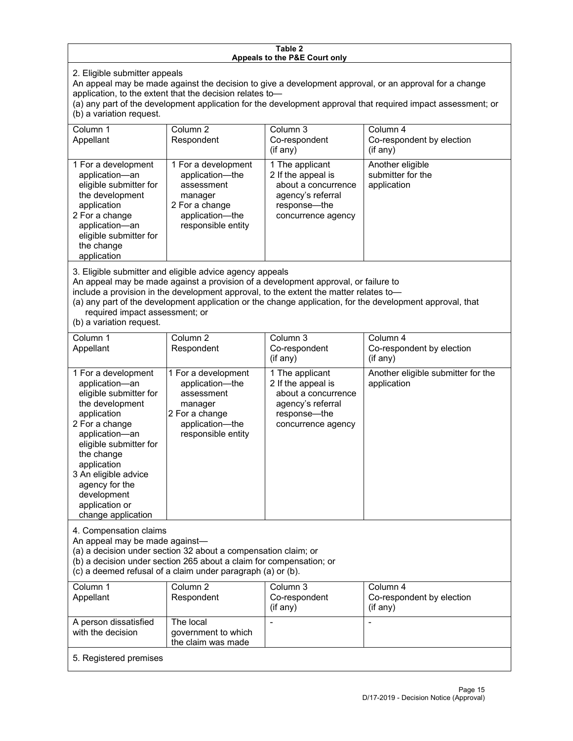## **Table 2 Appeals to the P&E Court only**

2. Eligible submitter appeals

An appeal may be made against the decision to give a development approval, or an approval for a change application, to the extent that the decision relates to—

(a) any part of the development application for the development approval that required impact assessment; or (b) a variation request.

| Column 1<br>Appellant                                                                                                                                                                        | Column 2<br>Respondent                                                                                                     | Column 3<br>Co-respondent<br>(i f any)                                                                                  | Column 4<br>Co-respondent by election<br>$($ if any $)$ |
|----------------------------------------------------------------------------------------------------------------------------------------------------------------------------------------------|----------------------------------------------------------------------------------------------------------------------------|-------------------------------------------------------------------------------------------------------------------------|---------------------------------------------------------|
| 1 For a development<br>application-an<br>eligible submitter for<br>the development<br>application<br>2 For a change<br>application-an<br>eligible submitter for<br>the change<br>application | 1 For a development<br>application-the<br>assessment<br>manager<br>2 For a change<br>application-the<br>responsible entity | 1 The applicant<br>2 If the appeal is<br>about a concurrence<br>agency's referral<br>response—the<br>concurrence agency | Another eligible<br>submitter for the<br>application    |

3. Eligible submitter and eligible advice agency appeals

An appeal may be made against a provision of a development approval, or failure to

include a provision in the development approval, to the extent the matter relates to—

(a) any part of the development application or the change application, for the development approval, that required impact assessment; or

(b) a variation request.

| Column <sub>1</sub><br>Appellant                                                                                                                                                                                                                                                              | Column <sub>2</sub><br>Respondent                                                                                          | Column 3<br>Co-respondent<br>(if any)                                                                                   | Column 4<br>Co-respondent by election<br>(if any) |  |  |
|-----------------------------------------------------------------------------------------------------------------------------------------------------------------------------------------------------------------------------------------------------------------------------------------------|----------------------------------------------------------------------------------------------------------------------------|-------------------------------------------------------------------------------------------------------------------------|---------------------------------------------------|--|--|
| 1 For a development<br>application-an<br>eligible submitter for<br>the development<br>application<br>2 For a change<br>application-an<br>eligible submitter for<br>the change<br>application<br>3 An eligible advice<br>agency for the<br>development<br>application or<br>change application | 1 For a development<br>application-the<br>assessment<br>manager<br>2 For a change<br>application-the<br>responsible entity | 1 The applicant<br>2 If the appeal is<br>about a concurrence<br>agency's referral<br>response-the<br>concurrence agency | Another eligible submitter for the<br>application |  |  |
| 4. Compensation claims<br>An appeal may be made against-<br>(a) a decision under section 32 about a compensation claim; or<br>(b) a decision under section 265 about a claim for compensation; or<br>(c) a deemed refusal of a claim under paragraph (a) or (b).                              |                                                                                                                            |                                                                                                                         |                                                   |  |  |
| Column <sub>1</sub><br>Appellant                                                                                                                                                                                                                                                              | Column <sub>2</sub><br>Respondent                                                                                          | Column <sub>3</sub><br>Co-respondent<br>(if any)                                                                        | Column 4<br>Co-respondent by election<br>(if any) |  |  |
| A person dissatisfied<br>with the decision                                                                                                                                                                                                                                                    | The local<br>government to which<br>the claim was made                                                                     |                                                                                                                         |                                                   |  |  |
| 5. Registered premises                                                                                                                                                                                                                                                                        |                                                                                                                            |                                                                                                                         |                                                   |  |  |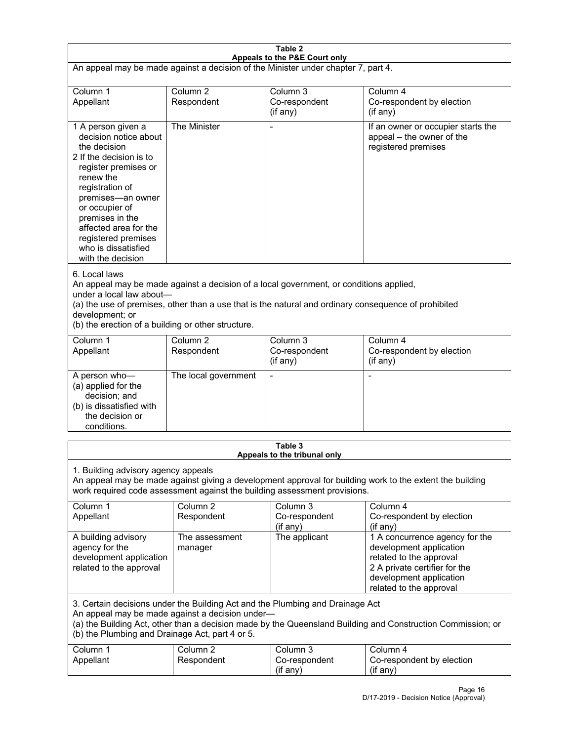| Table 2<br>Appeals to the P&E Court only                                                                                                                                                                                                                                                             |                                                                                                                                                                                                                                                                                  |                                                                               |                                                                                                                                                                             |  |  |
|------------------------------------------------------------------------------------------------------------------------------------------------------------------------------------------------------------------------------------------------------------------------------------------------------|----------------------------------------------------------------------------------------------------------------------------------------------------------------------------------------------------------------------------------------------------------------------------------|-------------------------------------------------------------------------------|-----------------------------------------------------------------------------------------------------------------------------------------------------------------------------|--|--|
| An appeal may be made against a decision of the Minister under chapter 7, part 4.                                                                                                                                                                                                                    |                                                                                                                                                                                                                                                                                  |                                                                               |                                                                                                                                                                             |  |  |
| Column <sub>2</sub><br>Column 1<br>Column <sub>3</sub><br>Column 4                                                                                                                                                                                                                                   |                                                                                                                                                                                                                                                                                  |                                                                               |                                                                                                                                                                             |  |  |
| Appellant                                                                                                                                                                                                                                                                                            | Respondent                                                                                                                                                                                                                                                                       | Co-respondent<br>(if any)                                                     | Co-respondent by election<br>$($ if any $)$                                                                                                                                 |  |  |
| 1 A person given a<br>decision notice about<br>the decision<br>2 If the decision is to<br>register premises or<br>renew the<br>registration of<br>premises-an owner<br>or occupier of<br>premises in the<br>affected area for the<br>registered premises<br>who is dissatisfied<br>with the decision | The Minister                                                                                                                                                                                                                                                                     |                                                                               | If an owner or occupier starts the<br>appeal - the owner of the<br>registered premises                                                                                      |  |  |
| 6. Local laws<br>development; or                                                                                                                                                                                                                                                                     | An appeal may be made against a decision of a local government, or conditions applied,<br>under a local law about-<br>(a) the use of premises, other than a use that is the natural and ordinary consequence of prohibited<br>(b) the erection of a building or other structure. |                                                                               |                                                                                                                                                                             |  |  |
| Column 1<br>Appellant                                                                                                                                                                                                                                                                                | Column <sub>2</sub><br>Respondent                                                                                                                                                                                                                                                | Column 3<br>Co-respondent<br>(if any)                                         | Column 4<br>Co-respondent by election<br>(if any)                                                                                                                           |  |  |
| A person who-<br>(a) applied for the<br>decision; and<br>(b) is dissatisfied with<br>the decision or<br>conditions.                                                                                                                                                                                  | The local government                                                                                                                                                                                                                                                             | $\blacksquare$                                                                | $\blacksquare$                                                                                                                                                              |  |  |
|                                                                                                                                                                                                                                                                                                      |                                                                                                                                                                                                                                                                                  | Table 3<br>Appeals to the tribunal only                                       |                                                                                                                                                                             |  |  |
| 1. Building advisory agency appeals                                                                                                                                                                                                                                                                  |                                                                                                                                                                                                                                                                                  | work required code assessment against the building assessment provisions.     | An appeal may be made against giving a development approval for building work to the extent the building                                                                    |  |  |
| Column 1<br>Appellant                                                                                                                                                                                                                                                                                | Column <sub>2</sub><br>Respondent                                                                                                                                                                                                                                                | Column <sub>3</sub><br>Co-respondent<br>(if any)                              | Column 4<br>Co-respondent by election<br>(if any)                                                                                                                           |  |  |
| A building advisory<br>agency for the<br>development application<br>related to the approval                                                                                                                                                                                                          | The assessment<br>manager                                                                                                                                                                                                                                                        | The applicant                                                                 | 1 A concurrence agency for the<br>development application<br>related to the approval<br>2 A private certifier for the<br>development application<br>related to the approval |  |  |
| (b) the Plumbing and Drainage Act, part 4 or 5.                                                                                                                                                                                                                                                      | An appeal may be made against a decision under-                                                                                                                                                                                                                                  | 3. Certain decisions under the Building Act and the Plumbing and Drainage Act | (a) the Building Act, other than a decision made by the Queensland Building and Construction Commission; or                                                                 |  |  |
| Column 1<br>Appellant                                                                                                                                                                                                                                                                                | Column <sub>2</sub><br>Respondent                                                                                                                                                                                                                                                | Column 3<br>Co-respondent<br>(if any)                                         | Column 4<br>Co-respondent by election<br>(if any)                                                                                                                           |  |  |